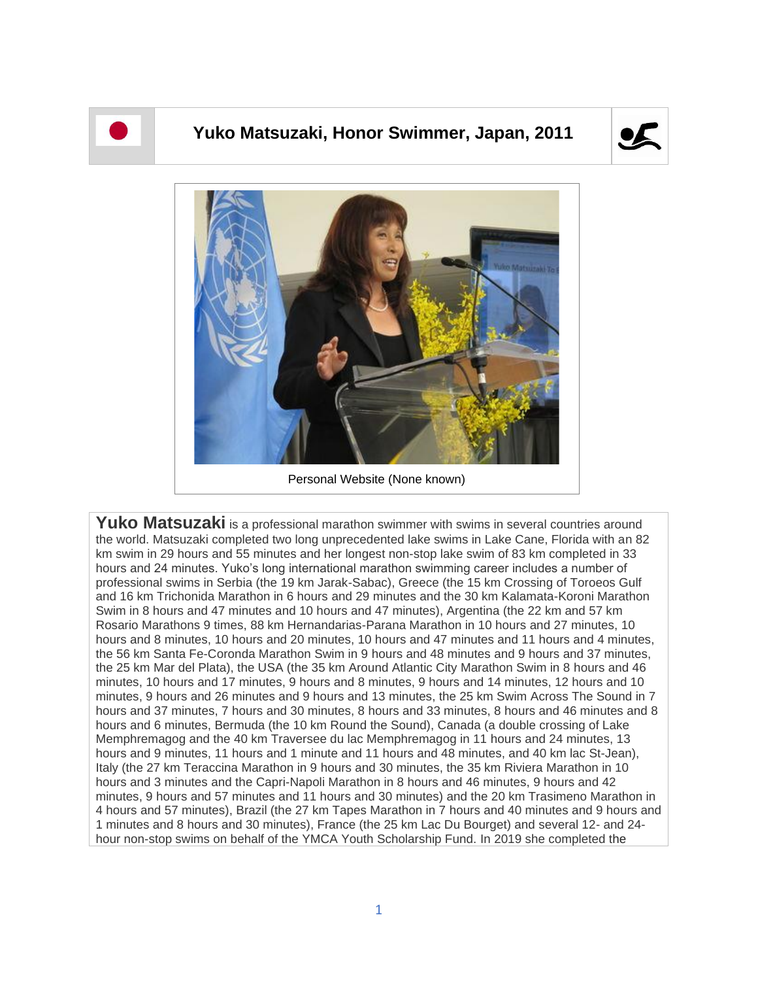

## **Yuko Matsuzaki, Honor Swimmer, Japan, 2011**





Personal Website (None known)

Yuko Matsuzaki is a professional marathon swimmer with swims in several countries around the world. Matsuzaki completed two long unprecedented lake swims in Lake Cane, Florida with an 82 km swim in 29 hours and 55 minutes and her longest non-stop lake swim of 83 km completed in 33 hours and 24 minutes. Yuko's long international marathon swimming career includes a number of professional swims in Serbia (the 19 km Jarak-Sabac), Greece (the 15 km Crossing of Toroeos Gulf and 16 km Trichonida Marathon in 6 hours and 29 minutes and the 30 km Kalamata-Koroni Marathon Swim in 8 hours and 47 minutes and 10 hours and 47 minutes), Argentina (the 22 km and 57 km Rosario Marathons 9 times, 88 km Hernandarias-Parana Marathon in 10 hours and 27 minutes, 10 hours and 8 minutes, 10 hours and 20 minutes, 10 hours and 47 minutes and 11 hours and 4 minutes, the 56 km Santa Fe-Coronda Marathon Swim in 9 hours and 48 minutes and 9 hours and 37 minutes, the 25 km Mar del Plata), the USA (the 35 km Around Atlantic City Marathon Swim in 8 hours and 46 minutes, 10 hours and 17 minutes, 9 hours and 8 minutes, 9 hours and 14 minutes, 12 hours and 10 minutes, 9 hours and 26 minutes and 9 hours and 13 minutes, the 25 km Swim Across The Sound in 7 hours and 37 minutes, 7 hours and 30 minutes, 8 hours and 33 minutes, 8 hours and 46 minutes and 8 hours and 6 minutes, Bermuda (the 10 km Round the Sound), Canada (a double crossing of Lake Memphremagog and the 40 km Traversee du lac Memphremagog in 11 hours and 24 minutes, 13 hours and 9 minutes, 11 hours and 1 minute and 11 hours and 48 minutes, and 40 km lac St-Jean), Italy (the 27 km Teraccina Marathon in 9 hours and 30 minutes, the 35 km Riviera Marathon in 10 hours and 3 minutes and the Capri-Napoli Marathon in 8 hours and 46 minutes, 9 hours and 42 minutes, 9 hours and 57 minutes and 11 hours and 30 minutes) and the 20 km Trasimeno Marathon in 4 hours and 57 minutes), Brazil (the 27 km Tapes Marathon in 7 hours and 40 minutes and 9 hours and 1 minutes and 8 hours and 30 minutes), France (the 25 km Lac Du Bourget) and several 12- and 24 hour non-stop swims on behalf of the YMCA Youth Scholarship Fund. In 2019 she completed the